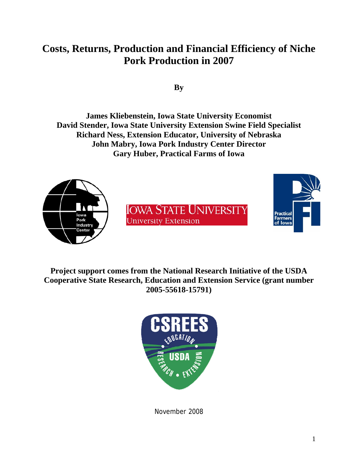# **Costs, Returns, Production and Financial Efficiency of Niche Pork Production in 2007**

**By** 

**James Kliebenstein, Iowa State University Economist David Stender, Iowa State University Extension Swine Field Specialist Richard Ness, Extension Educator, University of Nebraska John Mabry, Iowa Pork Industry Center Director Gary Huber, Practical Farms of Iowa** 



**Project support comes from the National Research Initiative of the USDA Cooperative State Research, Education and Extension Service (grant number 2005-55618-15791)** 



November 2008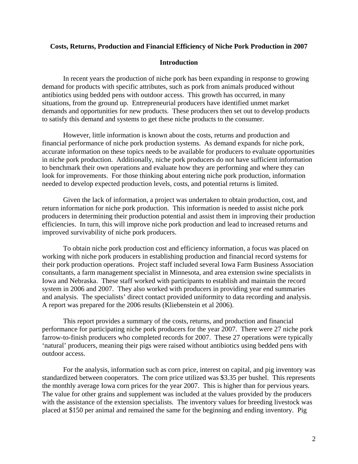## **Costs, Returns, Production and Financial Efficiency of Niche Pork Production in 2007**

## **Introduction**

In recent years the production of niche pork has been expanding in response to growing demand for products with specific attributes, such as pork from animals produced without antibiotics using bedded pens with outdoor access. This growth has occurred, in many situations, from the ground up. Entrepreneurial producers have identified unmet market demands and opportunities for new products. These producers then set out to develop products to satisfy this demand and systems to get these niche products to the consumer.

 However, little information is known about the costs, returns and production and financial performance of niche pork production systems. As demand expands for niche pork, accurate information on these topics needs to be available for producers to evaluate opportunities in niche pork production. Additionally, niche pork producers do not have sufficient information to benchmark their own operations and evaluate how they are performing and where they can look for improvements. For those thinking about entering niche pork production, information needed to develop expected production levels, costs, and potential returns is limited.

 Given the lack of information, a project was undertaken to obtain production, cost, and return information for niche pork production. This information is needed to assist niche pork producers in determining their production potential and assist them in improving their production efficiencies. In turn, this will improve niche pork production and lead to increased returns and improved survivability of niche pork producers.

 To obtain niche pork production cost and efficiency information, a focus was placed on working with niche pork producers in establishing production and financial record systems for their pork production operations. Project staff included several Iowa Farm Business Association consultants, a farm management specialist in Minnesota, and area extension swine specialists in Iowa and Nebraska. These staff worked with participants to establish and maintain the record system in 2006 and 2007. They also worked with producers in providing year end summaries and analysis. The specialists' direct contact provided uniformity to data recording and analysis. A report was prepared for the 2006 results (Kliebenstein et al 2006).

 This report provides a summary of the costs, returns, and production and financial performance for participating niche pork producers for the year 2007. There were 27 niche pork farrow-to-finish producers who completed records for 2007. These 27 operations were typically 'natural' producers, meaning their pigs were raised without antibiotics using bedded pens with outdoor access.

 For the analysis, information such as corn price, interest on capital, and pig inventory was standardized between cooperators. The corn price utilized was \$3.35 per bushel. This represents the monthly average Iowa corn prices for the year 2007. This is higher than for pervious years. The value for other grains and supplement was included at the values provided by the producers with the assistance of the extension specialists. The inventory values for breeding livestock was placed at \$150 per animal and remained the same for the beginning and ending inventory. Pig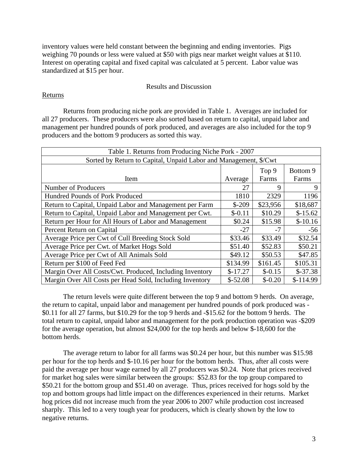inventory values were held constant between the beginning and ending inventories. Pigs weighing 70 pounds or less were valued at \$50 with pigs near market weight values at \$110. Interest on operating capital and fixed capital was calculated at 5 percent. Labor value was standardized at \$15 per hour.

## Results and Discussion

## Returns

 Returns from producing niche pork are provided in Table 1. Averages are included for all 27 producers. These producers were also sorted based on return to capital, unpaid labor and management per hundred pounds of pork produced, and averages are also included for the top 9 producers and the bottom 9 producers as sorted this way.

| Table 1. Returns from Producing Niche Pork - 2007                |           |          |            |  |
|------------------------------------------------------------------|-----------|----------|------------|--|
| Sorted by Return to Capital, Unpaid Labor and Management, \$/Cwt |           |          |            |  |
|                                                                  |           | Top 9    | Bottom 9   |  |
| Item                                                             | Average   | Farms    | Farms      |  |
| <b>Number of Producers</b>                                       | 27        | 9        | 9          |  |
| Hundred Pounds of Pork Produced                                  | 1810      | 2329     | 1196       |  |
| Return to Capital, Unpaid Labor and Management per Farm          | $$-209$   | \$23,956 | \$18,687   |  |
| Return to Capital, Unpaid Labor and Management per Cwt.          | $$-0.11$  | \$10.29  | $$-15.62$  |  |
| Return per Hour for All Hours of Labor and Management            | \$0.24    | \$15.98  | $$-10.16$  |  |
| Percent Return on Capital                                        | $-27$     | $-7$     | $-56$      |  |
| Average Price per Cwt of Cull Breeding Stock Sold                | \$33.46   | \$33.49  | \$32.54    |  |
| Average Price per Cwt. of Market Hogs Sold                       | \$51.40   | \$52.83  | \$50.21    |  |
| Average Price per Cwt of All Animals Sold                        | \$49.12   | \$50.53  | \$47.85    |  |
| Return per \$100 of Feed Fed                                     | \$134.99  | \$161.45 | \$105.31   |  |
| Margin Over All Costs/Cwt. Produced, Including Inventory         | $$-17.27$ | $$-0.15$ | $$-37.38$  |  |
| Margin Over All Costs per Head Sold, Including Inventory         | $$-52.08$ | $$-0.20$ | $$-114.99$ |  |

 The return levels were quite different between the top 9 and bottom 9 herds. On average, the return to capital, unpaid labor and management per hundred pounds of pork produced was - \$0.11 for all 27 farms, but \$10.29 for the top 9 herds and -\$15.62 for the bottom 9 herds. The total return to capital, unpaid labor and management for the pork production operation was -\$209 for the average operation, but almost \$24,000 for the top herds and below \$-18,600 for the bottom herds.

The average return to labor for all farms was \$0.24 per hour, but this number was \$15.98 per hour for the top herds and \$-10.16 per hour for the bottom herds. Thus, after all costs were paid the average per hour wage earned by all 27 producers was \$0.24. Note that prices received for market hog sales were similar between the groups: \$52.83 for the top group compared to \$50.21 for the bottom group and \$51.40 on average. Thus, prices received for hogs sold by the top and bottom groups had little impact on the differences experienced in their returns. Market hog prices did not increase much from the year 2006 to 2007 while production cost increased sharply. This led to a very tough year for producers, which is clearly shown by the low to negative returns.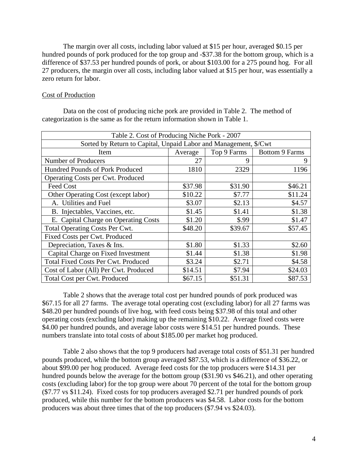The margin over all costs, including labor valued at \$15 per hour, averaged \$0.15 per hundred pounds of pork produced for the top group and -\$37.38 for the bottom group, which is a difference of \$37.53 per hundred pounds of pork, or about \$103.00 for a 275 pound hog. For all 27 producers, the margin over all costs, including labor valued at \$15 per hour, was essentially a zero return for labor.

#### Cost of Production

 Data on the cost of producing niche pork are provided in Table 2. The method of categorization is the same as for the return information shown in Table 1.

| Table 2. Cost of Producing Niche Pork - 2007                     |         |             |                       |
|------------------------------------------------------------------|---------|-------------|-----------------------|
| Sorted by Return to Capital, Unpaid Labor and Management, \$/Cwt |         |             |                       |
| Item                                                             | Average | Top 9 Farms | <b>Bottom 9 Farms</b> |
| <b>Number of Producers</b>                                       | 27      | $\mathbf Q$ | 9                     |
| Hundred Pounds of Pork Produced                                  | 1810    | 2329        | 1196                  |
| Operating Costs per Cwt. Produced                                |         |             |                       |
| Feed Cost                                                        | \$37.98 | \$31.90     | \$46.21               |
| Other Operating Cost (except labor)                              | \$10.22 | \$7.77      | \$11.24               |
| A. Utilities and Fuel                                            | \$3.07  | \$2.13      | \$4.57                |
| B. Injectables, Vaccines, etc.                                   | \$1.45  | \$1.41      | \$1.38                |
| E. Capital Charge on Operating Costs                             | \$1.20  | \$.99       | \$1.47                |
| <b>Total Operating Costs Per Cwt.</b>                            | \$48.20 | \$39.67     | \$57.45               |
| Fixed Costs per Cwt. Produced                                    |         |             |                       |
| Depreciation, Taxes & Ins.                                       | \$1.80  | \$1.33      | \$2.60                |
| Capital Charge on Fixed Investment                               | \$1.44  | \$1.38      | \$1.98                |
| <b>Total Fixed Costs Per Cwt. Produced</b>                       | \$3.24  | \$2.71      | \$4.58                |
| Cost of Labor (All) Per Cwt. Produced                            | \$14.51 | \$7.94      | \$24.03               |
| Total Cost per Cwt. Produced                                     | \$67.15 | \$51.31     | \$87.53               |

Table 2 shows that the average total cost per hundred pounds of pork produced was \$67.15 for all 27 farms. The average total operating cost (excluding labor) for all 27 farms was \$48.20 per hundred pounds of live hog, with feed costs being \$37.98 of this total and other operating costs (excluding labor) making up the remaining \$10.22. Average fixed costs were \$4.00 per hundred pounds, and average labor costs were \$14.51 per hundred pounds. These numbers translate into total costs of about \$185.00 per market hog produced.

Table 2 also shows that the top 9 producers had average total costs of \$51.31 per hundred pounds produced, while the bottom group averaged \$87.53, which is a difference of \$36.22, or about \$99.00 per hog produced. Average feed costs for the top producers were \$14.31 per hundred pounds below the average for the bottom group (\$31.90 vs \$46.21), and other operating costs (excluding labor) for the top group were about 70 percent of the total for the bottom group (\$7.77 vs \$11.24). Fixed costs for top producers averaged \$2.71 per hundred pounds of pork produced, while this number for the bottom producers was \$4.58. Labor costs for the bottom producers was about three times that of the top producers (\$7.94 vs \$24.03).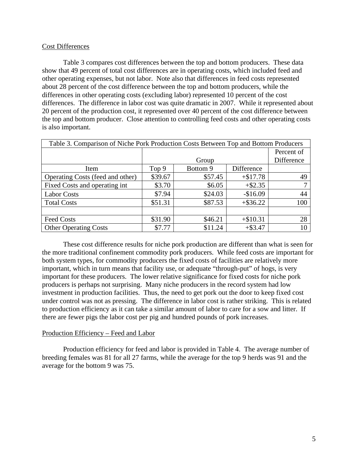## Cost Differences

Table 3 compares cost differences between the top and bottom producers. These data show that 49 percent of total cost differences are in operating costs, which included feed and other operating expenses, but not labor. Note also that differences in feed costs represented about 28 percent of the cost difference between the top and bottom producers, while the differences in other operating costs (excluding labor) represented 10 percent of the cost differences. The difference in labor cost was quite dramatic in 2007. While it represented about 20 percent of the production cost, it represented over 40 percent of the cost difference between the top and bottom producer. Close attention to controlling feed costs and other operating costs is also important.

| Table 3. Comparison of Niche Pork Production Costs Between Top and Bottom Producers |         |          |             |            |
|-------------------------------------------------------------------------------------|---------|----------|-------------|------------|
|                                                                                     |         |          |             | Percent of |
|                                                                                     | Group   |          |             | Difference |
| Item                                                                                | Top 9   | Bottom 9 | Difference  |            |
| Operating Costs (feed and other)                                                    | \$39.67 | \$57.45  | $+ $17.78$  | 49         |
| Fixed Costs and operating int                                                       | \$3.70  | \$6.05   | $+$ \$2.35  |            |
| <b>Labor Costs</b>                                                                  | \$7.94  | \$24.03  | $-$16.09$   | 44         |
| <b>Total Costs</b>                                                                  | \$51.31 | \$87.53  | $+$ \$36.22 | 100        |
|                                                                                     |         |          |             |            |
| <b>Feed Costs</b>                                                                   | \$31.90 | \$46.21  | $+ $10.31$  | 28         |
| <b>Other Operating Costs</b>                                                        | \$7.77  | \$11.24  | $+$ \$3.47  |            |

 These cost difference results for niche pork production are different than what is seen for the more traditional confinement commodity pork producers. While feed costs are important for both system types, for commodity producers the fixed costs of facilities are relatively more important, which in turn means that facility use, or adequate "through-put" of hogs, is very important for these producers. The lower relative significance for fixed costs for niche pork producers is perhaps not surprising. Many niche producers in the record system had low investment in production facilities. Thus, the need to get pork out the door to keep fixed cost under control was not as pressing. The difference in labor cost is rather striking. This is related to production efficiency as it can take a similar amount of labor to care for a sow and litter. If there are fewer pigs the labor cost per pig and hundred pounds of pork increases.

## Production Efficiency – Feed and Labor

 Production efficiency for feed and labor is provided in Table 4. The average number of breeding females was 81 for all 27 farms, while the average for the top 9 herds was 91 and the average for the bottom 9 was 75.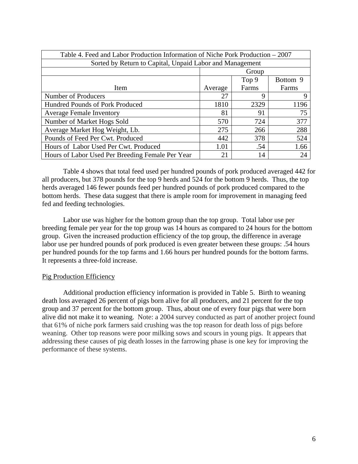| Table 4. Feed and Labor Production Information of Niche Pork Production – 2007 |         |       |          |  |
|--------------------------------------------------------------------------------|---------|-------|----------|--|
| Sorted by Return to Capital, Unpaid Labor and Management                       |         |       |          |  |
|                                                                                | Group   |       |          |  |
|                                                                                |         | Top 9 | Bottom 9 |  |
| Item                                                                           | Average | Farms | Farms    |  |
| Number of Producers                                                            | 27      | 9     | Q        |  |
| Hundred Pounds of Pork Produced                                                | 1810    | 2329  | 1196     |  |
| <b>Average Female Inventory</b>                                                | 81      | 91    | 75       |  |
| Number of Market Hogs Sold                                                     | 570     | 724   | 377      |  |
| Average Market Hog Weight, Lb.                                                 | 275     | 266   | 288      |  |
| Pounds of Feed Per Cwt. Produced                                               | 442     | 378   | 524      |  |
| Hours of Labor Used Per Cwt. Produced                                          | 1.01    | .54   | 1.66     |  |
| Hours of Labor Used Per Breeding Female Per Year                               | 21      | 14    | 24       |  |

Table 4 shows that total feed used per hundred pounds of pork produced averaged 442 for all producers, but 378 pounds for the top 9 herds and 524 for the bottom 9 herds. Thus, the top herds averaged 146 fewer pounds feed per hundred pounds of pork produced compared to the bottom herds. These data suggest that there is ample room for improvement in managing feed fed and feeding technologies.

Labor use was higher for the bottom group than the top group. Total labor use per breeding female per year for the top group was 14 hours as compared to 24 hours for the bottom group. Given the increased production efficiency of the top group, the difference in average labor use per hundred pounds of pork produced is even greater between these groups: .54 hours per hundred pounds for the top farms and 1.66 hours per hundred pounds for the bottom farms. It represents a three-fold increase.

# Pig Production Efficiency

 Additional production efficiency information is provided in Table 5. Birth to weaning death loss averaged 26 percent of pigs born alive for all producers, and 21 percent for the top group and 37 percent for the bottom group. Thus, about one of every four pigs that were born alive did not make it to weaning. Note: a 2004 survey conducted as part of another project found that 61% of niche pork farmers said crushing was the top reason for death loss of pigs before weaning. Other top reasons were poor milking sows and scours in young pigs. It appears that addressing these causes of pig death losses in the farrowing phase is one key for improving the performance of these systems.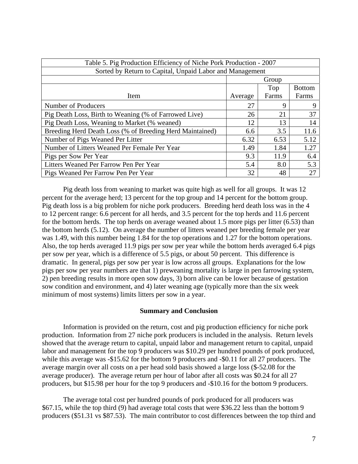| Table 5. Pig Production Efficiency of Niche Pork Production - 2007 |         |       |               |
|--------------------------------------------------------------------|---------|-------|---------------|
| Sorted by Return to Capital, Unpaid Labor and Management           |         |       |               |
|                                                                    | Group   |       |               |
|                                                                    |         | Top   | <b>Bottom</b> |
| Item                                                               | Average | Farms | Farms         |
| Number of Producers                                                | 27      | 9     | 9             |
| Pig Death Loss, Birth to Weaning (% of Farrowed Live)              | 26      | 21    | 37            |
| Pig Death Loss, Weaning to Market (% weaned)                       | 12      | 13    | 14            |
| Breeding Herd Death Loss (% of Breeding Herd Maintained)           | 6.6     | 3.5   | 11.6          |
| Number of Pigs Weaned Per Litter                                   | 6.32    | 6.53  | 5.12          |
| Number of Litters Weaned Per Female Per Year                       | 1.49    | 1.84  | 1.27          |
| Pigs per Sow Per Year                                              | 9.3     | 11.9  | 6.4           |
| Litters Weaned Per Farrow Pen Per Year                             | 5.4     | 8.0   | 5.3           |
| Pigs Weaned Per Farrow Pen Per Year                                | 32      | 48    | 27            |

 Pig death loss from weaning to market was quite high as well for all groups. It was 12 percent for the average herd; 13 percent for the top group and 14 percent for the bottom group. Pig death loss is a big problem for niche pork producers. Breeding herd death loss was in the 4 to 12 percent range: 6.6 percent for all herds, and 3.5 percent for the top herds and 11.6 percent for the bottom herds. The top herds on average weaned about 1.5 more pigs per litter (6.53) than the bottom herds (5.12). On average the number of litters weaned per breeding female per year was 1.49, with this number being 1.84 for the top operations and 1.27 for the bottom operations. Also, the top herds averaged 11.9 pigs per sow per year while the bottom herds averaged 6.4 pigs per sow per year, which is a difference of 5.5 pigs, or about 50 percent. This difference is dramatic. In general, pigs per sow per year is low across all groups. Explanations for the low pigs per sow per year numbers are that 1) preweaning mortality is large in pen farrowing system, 2) pen breeding results in more open sow days, 3) born alive can be lower because of gestation sow condition and environment, and 4) later weaning age (typically more than the six week minimum of most systems) limits litters per sow in a year.

## **Summary and Conclusion**

 Information is provided on the return, cost and pig production efficiency for niche pork production. Information from 27 niche pork producers is included in the analysis. Return levels showed that the average return to capital, unpaid labor and management return to capital, unpaid labor and management for the top 9 producers was \$10.29 per hundred pounds of pork produced, while this average was -\$15.62 for the bottom 9 producers and -\$0.11 for all 27 producers. The average margin over all costs on a per head sold basis showed a large loss (\$-52.08 for the average producer). The average return per hour of labor after all costs was \$0.24 for all 27 producers, but \$15.98 per hour for the top 9 producers and -\$10.16 for the bottom 9 producers.

The average total cost per hundred pounds of pork produced for all producers was \$67.15, while the top third (9) had average total costs that were \$36.22 less than the bottom 9 producers (\$51.31 vs \$87.53). The main contributor to cost differences between the top third and